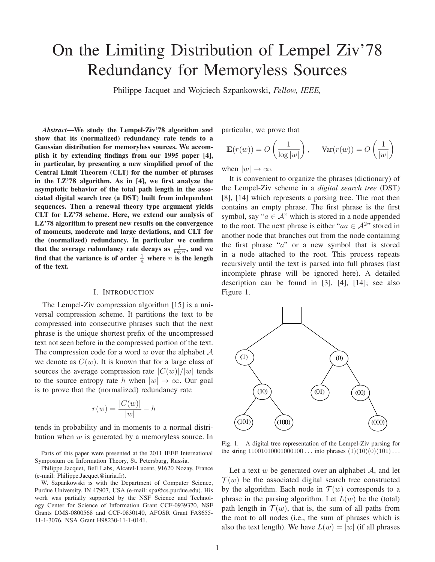# On the Limiting Distribution of Lempel Ziv'78 Redundancy for Memoryless Sources

Philippe Jacquet and Wojciech Szpankowski, *Fellow, IEEE,*

*Abstract*—We study the Lempel-Ziv'78 algorithm and show that its (normalized) redundancy rate tends to a Gaussian distribution for memoryless sources. We accomplish it by extending findings from our 1995 paper [4], in particular, by presenting a new simplified proof of the Central Limit Theorem (CLT) for the number of phrases in the LZ'78 algorithm. As in [4], we first analyze the asymptotic behavior of the total path length in the associated digital search tree (a DST) built from independent sequences. Then a renewal theory type argument yields CLT for LZ'78 scheme. Here, we extend our analysis of LZ'78 algorithm to present new results on the convergence of moments, moderate and large deviations, and CLT for the (normalized) redundancy. In particular we confirm that the average redundancy rate decays as  $\frac{1}{\log n}$ , and we find that the variance is of order  $\frac{1}{n}$  where n is the length of the text.

#### I. INTRODUCTION

The Lempel-Ziv compression algorithm [15] is a universal compression scheme. It partitions the text to be compressed into consecutive phrases such that the next phrase is the unique shortest prefix of the uncompressed text not seen before in the compressed portion of the text. The compression code for a word w over the alphabet  $A$ we denote as  $C(w)$ . It is known that for a large class of sources the average compression rate  $|C(w)|/|w|$  tends to the source entropy rate h when  $|w| \to \infty$ . Our goal is to prove that the (normalized) redundancy rate

$$
r(w) = \frac{|C(w)|}{|w|} - h
$$

tends in probability and in moments to a normal distribution when  $w$  is generated by a memoryless source. In

Parts of this paper were presented at the 2011 IEEE International Symposium on Information Theory, St. Petersburg, Russia.

Philippe Jacquet, Bell Labs, Alcatel-Lucent, 91620 Nozay, France (e-mail: Philippe.Jacquet@inria.fr).

W. Szpankowski is with the Department of Computer Science, Purdue University, IN 47907, USA (e-mail: spa@cs.purdue.edu). His work was partially supported by the NSF Science and Technology Center for Science of Information Grant CCF-0939370, NSF Grants DMS-0800568 and CCF-0830140, AFOSR Grant FA8655- 11-1-3076, NSA Grant H98230-11-1-0141.

particular, we prove that

$$
\mathbf{E}(r(w)) = O\left(\frac{1}{\log |w|}\right), \quad \text{Var}(r(w)) = O\left(\frac{1}{|w|}\right)
$$

when  $|w| \to \infty$ .

It is convenient to organize the phrases (dictionary) of the Lempel-Ziv scheme in a *digital search tree* (DST) [8], [14] which represents a parsing tree. The root then contains an empty phrase. The first phrase is the first symbol, say " $a \in A$ " which is stored in a node appended to the root. The next phrase is either " $aa \in A^{2}$ " stored in another node that branches out from the node containing the first phrase " $a$ " or a new symbol that is stored in a node attached to the root. This process repeats recursively until the text is parsed into full phrases (last incomplete phrase will be ignored here). A detailed description can be found in [3], [4], [14]; see also Figure 1.



Fig. 1. A digital tree representation of the Lempel-Ziv parsing for the string  $11001010001000100...$  into phrases  $(1)(10)(0)(101)...$ 

Let a text  $w$  be generated over an alphabet  $A$ , and let  $\mathcal{T}(w)$  be the associated digital search tree constructed by the algorithm. Each node in  $\mathcal{T}(w)$  corresponds to a phrase in the parsing algorithm. Let  $L(w)$  be the (total) path length in  $\mathcal{T}(w)$ , that is, the sum of all paths from the root to all nodes (i.e., the sum of phrases which is also the text length). We have  $L(w) = |w|$  (if all phrases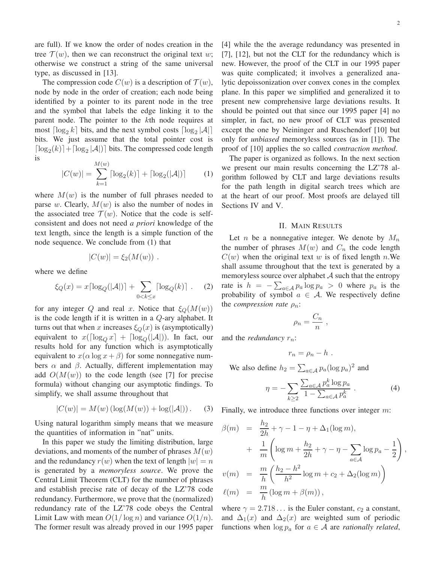are full). If we know the order of nodes creation in the tree  $\mathcal{T}(w)$ , then we can reconstruct the original text w; otherwise we construct a string of the same universal type, as discussed in [13].

The compression code  $C(w)$  is a description of  $\mathcal{T}(w)$ , node by node in the order of creation; each node being identified by a pointer to its parent node in the tree and the symbol that labels the edge linking it to the parent node. The pointer to the kth node requires at most  $\lceil \log_2 k \rceil$  bits, and the next symbol costs  $\lceil \log_2 |\mathcal{A}| \rceil$ bits. We just assume that the total pointer cost is  $\lceil \log_2(k) \rceil + \lceil \log_2 |\mathcal{A}| \rceil$  bits. The compressed code length is

$$
|C(w)| = \sum_{k=1}^{M(w)} \lceil \log_2(k) \rceil + \lceil \log_2(|\mathcal{A}|) \rceil \tag{1}
$$

where  $M(w)$  is the number of full phrases needed to parse w. Clearly,  $M(w)$  is also the number of nodes in the associated tree  $\mathcal{T}(w)$ . Notice that the code is selfconsistent and does not need *a priori* knowledge of the text length, since the length is a simple function of the node sequence. We conclude from (1) that

$$
|C(w)| = \xi_2(M(w)) .
$$

where we define

$$
\xi_Q(x) = x \lceil \log_Q(|\mathcal{A}|) \rceil + \sum_{0 < k \le x} \lceil \log_Q(k) \rceil \tag{2}
$$

for any integer Q and real x. Notice that  $\xi_Q(M(w))$ is the code length if it is written in a Q-ary alphabet. It turns out that when x increases  $\xi_Q(x)$  is (asymptotically) equivalent to  $x(\lceil \log_0 x \rceil + \lceil \log_0 (|\mathcal{A}|))$ . In fact, our results hold for any function which is asymptotically equivalent to  $x(\alpha \log x + \beta)$  for some nonnegative numbers  $\alpha$  and  $\beta$ . Actually, different implementation may add  $O(M(w))$  to the code length (see [7] for precise formula) without changing our asymptotic findings. To simplify, we shall assume throughout that

$$
|C(w)| = M(w) (\log(M(w)) + \log(|A|)).
$$
 (3)

Using natural logarithm simply means that we measure the quantities of information in "nat" units.

In this paper we study the limiting distribution, large deviations, and moments of the number of phrases  $M(w)$ and the redundancy  $r(w)$  when the text of length  $|w| = n$ is generated by a *memoryless source*. We prove the Central Limit Theorem (CLT) for the number of phrases and establish precise rate of decay of the LZ'78 code redundancy. Furthermore, we prove that the (normalized) redundancy rate of the LZ'78 code obeys the Central Limit Law with mean  $O(1/\log n)$  and variance  $O(1/n)$ . The former result was already proved in our 1995 paper [4] while the the average redundancy was presented in [7], [12], but not the CLT for the redundancy which is new. However, the proof of the CLT in our 1995 paper was quite complicated; it involves a generalized analytic depoissonization over convex cones in the complex plane. In this paper we simplified and generalized it to present new comprehensive large deviations results. It should be pointed out that since our 1995 paper [4] no simpler, in fact, no new proof of CLT was presented except the one by Neininger and Ruschendorf [10] but only for *unbiased* memoryless sources (as in [1]). The proof of [10] applies the so called *contraction method*.

The paper is organized as follows. In the next section we present our main results concerning the LZ'78 algorithm followed by CLT and large deviations results for the path length in digital search trees which are at the heart of our proof. Most proofs are delayed till Sections IV and V.

#### II. MAIN RESULTS

Let *n* be a nonnegative integer. We denote by  $M_n$ the number of phrases  $M(w)$  and  $C_n$  the code length  $C(w)$  when the original text w is of fixed length n.We shall assume throughout that the text is generated by a memoryless source over alphabet  $A$  such that the entropy rate is  $h = -\sum_{a \in \mathcal{A}} p_a \log p_a > 0$  where  $p_a$  is the probability of symbol  $a \in \mathcal{A}$ . We respectively define the *compression rate*  $\rho_n$ :

$$
\rho_n = \frac{C_n}{n} \ ,
$$

and the *redundancy*  $r_n$ :

$$
r_n=\rho_n-h.
$$

We also define  $h_2 = \sum_{a \in \mathcal{A}} p_a (\log p_a)^2$  and

$$
\eta = -\sum_{k\geq 2} \frac{\sum_{a\in \mathcal{A}} p_a^k \log p_a}{1 - \sum_{a\in \mathcal{A}} p_a^k} \,. \tag{4}
$$

Finally, we introduce three functions over integer m:

$$
\beta(m) = \frac{h_2}{2h} + \gamma - 1 - \eta + \Delta_1(\log m),
$$
  
+ 
$$
\frac{1}{m} \left( \log m + \frac{h_2}{2h} + \gamma - \eta - \sum_{a \in \mathcal{A}} \log p_a - \frac{1}{2} \right),
$$
  

$$
v(m) = \frac{m}{h} \left( \frac{h_2 - h^2}{h^2} \log m + c_2 + \Delta_2(\log m) \right)
$$
  

$$
\ell(m) = \frac{m}{h} (\log m + \beta(m)),
$$

where  $\gamma = 2.718...$  is the Euler constant,  $c_2$  a constant, and  $\Delta_1(x)$  and  $\Delta_2(x)$  are weighted sum of periodic functions when  $\log p_a$  for  $a \in A$  are *rationally related*,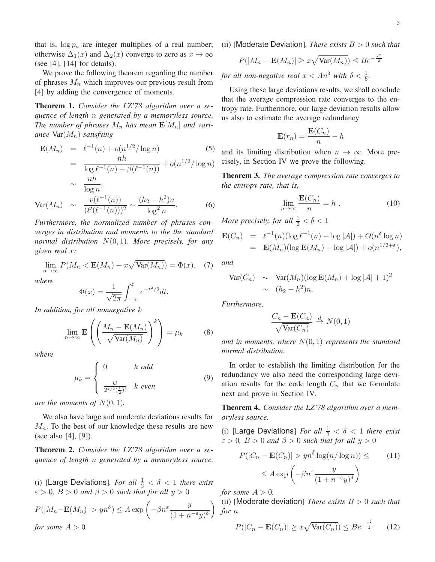that is,  $\log p_a$  are integer multiplies of a real number; otherwise  $\Delta_1(x)$  and  $\Delta_2(x)$  converge to zero as  $x \to \infty$ (see [4],  $[14]$  for details).

We prove the following theorem regarding the number of phrases  $M_n$  which improves our previous result from [4] by adding the convergence of moments.

Theorem 1. *Consider the LZ'78 algorithm over a sequence of length* n *generated by a memoryless source.* The number of phrases  $M_n$  has mean  $\mathbf{E}[M_n]$  and vari*ance* Var(Mn) *satisfying*

$$
\mathbf{E}(M_n) = \ell^{-1}(n) + o(n^{1/2}/\log n)
$$
(5)  
= 
$$
\frac{nh}{\log \ell^{-1}(n) + \beta(\ell^{-1}(n))} + o(n^{1/2}/\log n)
$$
  

$$
\sim \frac{nh}{\log n},
$$
  

$$
\text{Var}(M_n) \sim \frac{v(\ell^{-1}(n))}{(\ell'(\ell^{-1}(n)))^2} \sim \frac{(h_2 - h^2)n}{\log^2 n}.
$$
(6)

*Furthermore, the normalized number of phrases converges in distribution and moments to the the standard normal distribution* N(0, 1)*. More precisely, for any given real* x*:*

$$
\lim_{n \to \infty} P(M_n < \mathbf{E}(M_n) + x\sqrt{\text{Var}(M_n)}) = \Phi(x), \quad (7)
$$

*where*

$$
\Phi(x) = \frac{1}{\sqrt{2\pi}} \int_{-\infty}^{x} e^{-t^2/2} dt.
$$

*In addition, for all nonnegative* k

$$
\lim_{n \to \infty} \mathbf{E}\left(\left(\frac{M_n - \mathbf{E}(M_n)}{\sqrt{\text{Var}(M_n)}}\right)^k\right) = \mu_k \tag{8}
$$

*where*

$$
\mu_k = \begin{cases} 0 & k \text{ odd} \\ \frac{k!}{2^{k/2}(\frac{k}{2})!} & k \text{ even} \end{cases}
$$
(9)

*are the moments of*  $N(0, 1)$ *.* 

We also have large and moderate deviations results for  $M_n$ . To the best of our knowledge these results are new (see also [4], [9]).

Theorem 2. *Consider the LZ'78 algorithm over a sequence of length* n *generated by a memoryless source.*

(i) [Large Deviations]. For all  $\frac{1}{2} < \delta < 1$  there exist  $\varepsilon > 0$ ,  $B > 0$  and  $\beta > 0$  such that for all  $y > 0$ 

$$
P(|M_n - \mathbf{E}(M_n)| > yn^{\delta}) \le A \exp\left(-\beta n^{\varepsilon} \frac{y}{(1 + n^{-\varepsilon}y)^{\delta}}\right)
$$
  
for some  $A > 0$ .

(ii) [Moderate Deviation]*. There exists* B > 0 *such that*

$$
P(|M_n - \mathbf{E}(M_n)| \ge x\sqrt{\text{Var}(M_n)}) \le Be^{-\frac{x^2}{2}}
$$

*for all non-negative real*  $x < An^{\delta}$  *with*  $\delta < \frac{1}{6}$ *.* 

Using these large deviations results, we shall conclude that the average compression rate converges to the entropy rate. Furthermore, our large deviation results allow us also to estimate the average redundancy

$$
\mathbf{E}(r_n) = \frac{\mathbf{E}(C_n)}{n} - h
$$

and its limiting distribution when  $n \to \infty$ . More precisely, in Section IV we prove the following.

Theorem 3. *The average compression rate converges to the entropy rate, that is,*

$$
\lim_{n \to \infty} \frac{\mathbf{E}(C_n)}{n} = h . \tag{10}
$$

*More precisely, for all*  $\frac{1}{2} < \delta < 1$ 

$$
\mathbf{E}(C_n) = \ell^{-1}(n)(\log \ell^{-1}(n) + \log |\mathcal{A}|) + O(n^{\delta} \log n)
$$
  
=  $\mathbf{E}(M_n)(\log \mathbf{E}(M_n) + \log |\mathcal{A}|) + o(n^{1/2+\epsilon}),$ 

*and*

$$
Var(C_n) \sim Var(M_n)(\log E(M_n) + \log |\mathcal{A}| + 1)^2
$$
  
 
$$
\sim (h_2 - h^2)n.
$$

*Furthermore,*

$$
\frac{C_n - \mathbf{E}(C_n)}{\sqrt{\text{Var}(C_n)}} \overset{d}{\to} N(0, 1)
$$

*and in moments, where* N(0, 1) *represents the standard normal distribution.*

In order to establish the limiting distribution for the redundancy we also need the corresponding large deviation results for the code length  $C_n$  that we formulate next and prove in Section IV.

Theorem 4. *Consider the LZ'78 algorithm over a memoryless source.*

(i) [Large Deviations] *For all*  $\frac{1}{2} < \delta < 1$  *there exist*  $\varepsilon > 0$ ,  $B > 0$  and  $\beta > 0$  such that for all  $y > 0$ 

$$
P(|C_n - \mathbf{E}(C_n)| > yn^{\delta} \log(n/\log n)) \leq (11)
$$

$$
\leq A \exp\left(-\beta n^{\varepsilon} \frac{y}{(1 + n^{-\varepsilon}y)^{\delta}}\right)
$$

*for some*  $A > 0$ *.* 

(ii) [Moderate deviation] *There exists* B > 0 *such that for* n

$$
P(|C_n - \mathbf{E}(C_n)| \ge x\sqrt{\text{Var}(C_n)}) \le Be^{-\frac{x^2}{2}} \qquad (12)
$$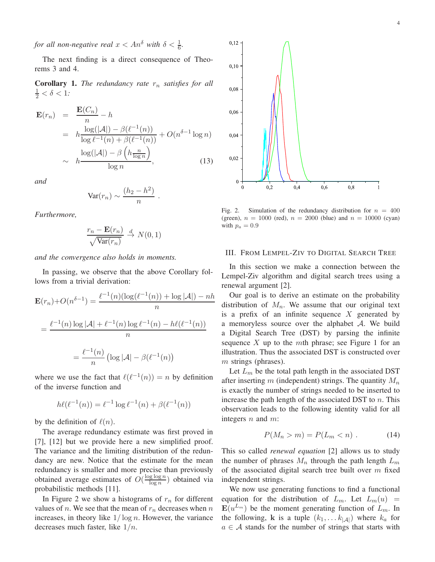*for all non-negative real*  $x < An^{\delta}$  *with*  $\delta < \frac{1}{6}$ *.* 

The next finding is a direct consequence of Theorems 3 and 4.

**Corollary 1.** *The redundancy rate*  $r_n$  *satisfies for all*  $\frac{1}{2} < \delta < 1$ .

$$
\mathbf{E}(r_n) = \frac{\mathbf{E}(C_n)}{n} - h
$$
  
=  $h \frac{\log(|\mathcal{A}|) - \beta(\ell^{-1}(n))}{\log \ell^{-1}(n) + \beta(\ell^{-1}(n))} + O(n^{\delta - 1} \log n)$   
 $\sim h \frac{\log(|\mathcal{A}|) - \beta\left(h \frac{n}{\log n}\right)}{\log n},$  (13)

*and*

$$
\text{Var}(r_n) \sim \frac{(h_2 - h^2)}{n}
$$

.

*Furthermore,*

$$
\frac{r_n - \mathbf{E}(r_n)}{\sqrt{\text{Var}(r_n)}} \stackrel{d}{\to} N(0, 1)
$$

*and the convergence also holds in moments.*

In passing, we observe that the above Corollary follows from a trivial derivation:

$$
\mathbf{E}(r_n) + O(n^{\delta - 1}) = \frac{\ell^{-1}(n)(\log(\ell^{-1}(n)) + \log |\mathcal{A}|) - nh}{n}
$$

$$
= \frac{\ell^{-1}(n)\log |\mathcal{A}| + \ell^{-1}(n)\log \ell^{-1}(n) - h\ell(\ell^{-1}(n))}{n}
$$

$$
= \frac{\ell^{-1}(n)}{n} (\log |\mathcal{A}| - \beta(\ell^{-1}(n))
$$

where we use the fact that  $\ell(\ell^{-1}(n)) = n$  by definition of the inverse function and

$$
h\ell(\ell^{-1}(n)) = \ell^{-1}\log \ell^{-1}(n) + \beta(\ell^{-1}(n))
$$

by the definition of  $\ell(n)$ .

The average redundancy estimate was first proved in [7], [12] but we provide here a new simplified proof. The variance and the limiting distribution of the redundancy are new. Notice that the estimate for the mean redundancy is smaller and more precise than previously obtained average estimates of  $O(\frac{\log \log n}{\log n})$  $\frac{g \log n}{\log n}$  obtained via probabilistic methods [11].

In Figure 2 we show a histograms of  $r_n$  for different values of *n*. We see that the mean of  $r_n$  decreases when *n* increases, in theory like  $1/\log n$ . However, the variance decreases much faster, like  $1/n$ .



Fig. 2. Simulation of the redundancy distribution for  $n = 400$ (green),  $n = 1000$  (red),  $n = 2000$  (blue) and  $n = 10000$  (cyan) with  $p_a = 0.9$ 

#### III. FROM LEMPEL-ZIV TO DIGITAL SEARCH TREE

In this section we make a connection between the Lempel-Ziv algorithm and digital search trees using a renewal argument [2].

Our goal is to derive an estimate on the probability distribution of  $M_n$ . We assume that our original text is a prefix of an infinite sequence  $X$  generated by a memoryless source over the alphabet  $A$ . We build a Digital Search Tree (DST) by parsing the infinite sequence X up to the mth phrase; see Figure 1 for an illustration. Thus the associated DST is constructed over m strings (phrases).

Let  $L_m$  be the total path length in the associated DST after inserting m (independent) strings. The quantity  $M_n$ is exactly the number of strings needed to be inserted to increase the path length of the associated DST to  $n$ . This observation leads to the following identity valid for all integers  $n$  and  $m$ :

$$
P(M_n > m) = P(L_m < n) . \tag{14}
$$

This so called *renewal equation* [2] allows us to study the number of phrases  $M_n$  through the path length  $L_m$ of the associated digital search tree built over  $m$  fixed independent strings.

We now use generating functions to find a functional equation for the distribution of  $L_m$ . Let  $L_m(u)$  =  $\mathbf{E}(u^{L_m})$  be the moment generating function of  $L_m$ . In the following, **k** is a tuple  $(k_1, \ldots k_{|\mathcal{A}|})$  where  $k_a$  for  $a \in \mathcal{A}$  stands for the number of strings that starts with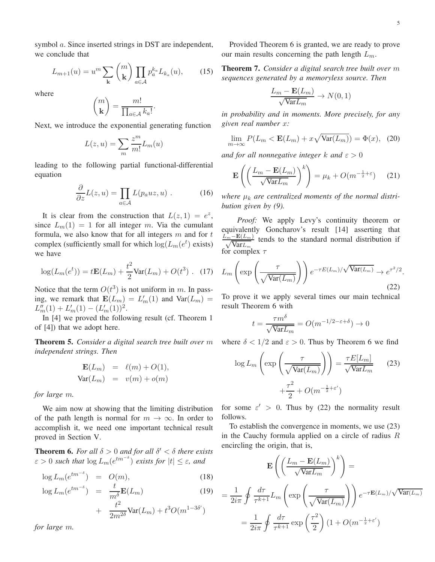symbol *a*. Since inserted strings in DST are independent, we conclude that

$$
L_{m+1}(u) = u^m \sum_{\mathbf{k}} \binom{m}{\mathbf{k}} \prod_{a \in \mathcal{A}} p_a^{k_a} L_{k_a}(u), \qquad (15)
$$

where

$$
\binom{m}{\mathbf{k}} = \frac{m!}{\prod_{a \in \mathcal{A}} k_a!}.
$$

Next, we introduce the exponential generating function

$$
L(z, u) = \sum_{m} \frac{z^{m}}{m!} L_m(u)
$$

leading to the following partial functional-differential equation

$$
\frac{\partial}{\partial z}L(z, u) = \prod_{a \in \mathcal{A}} L(p_a u z, u) . \tag{16}
$$

It is clear from the construction that  $L(z, 1) = e^z$ , since  $L_m(1) = 1$  for all integer m. Via the cumulant formula, we also know that for all integers  $m$  and for  $t$ complex (sufficiently small for which  $log(L_m(e^t))$  exists) we have

$$
\log(L_m(e^t)) = t\mathbf{E}(L_m) + \frac{t^2}{2}\text{Var}(L_m) + O(t^3) \quad (17)
$$

Notice that the term  $O(t^3)$  is not uniform in m. In passing, we remark that  $\mathbf{E}(L_m) = L'_m(1)$  and  $\text{Var}(L_m) =$  $L''_m(1) + L'_m(1) - (L'_m(1))^2.$ 

In [4] we proved the following result (cf. Theorem 1 of [4]) that we adopt here.

Theorem 5. *Consider a digital search tree built over* m *independent strings. Then*

$$
\mathbf{E}(L_m) = \ell(m) + O(1),
$$
  

$$
\text{Var}(L_m) = v(m) + o(m)
$$

*for large* m*.*

We aim now at showing that the limiting distribution of the path length is normal for  $m \to \infty$ . In order to accomplish it, we need one important technical result proved in Section V.

**Theorem 6.** For all  $\delta > 0$  and for all  $\delta' < \delta$  there exists  $\varepsilon > 0$  such that  $\log L_m(e^{tm^{-\delta}})$  exists for  $|t| \leq \varepsilon$ , and

$$
\log L_m(e^{tm^{-\delta}}) = O(m), \tag{18}
$$

$$
\log L_m(e^{tm^{-\delta}}) = \frac{t}{m^{\delta}} \mathbf{E}(L_m)
$$
\n
$$
+ \frac{t^2}{2m^{2\delta}} \text{Var}(L_m) + t^3 O(m^{1-3\delta'})
$$
\n(19)

*for large* m*.*

Provided Theorem 6 is granted, we are ready to prove our main results concerning the path length  $L_m$ .

Theorem 7. *Consider a digital search tree built over* m *sequences generated by a memoryless source. Then*

$$
\frac{L_m - \mathbf{E}(L_m)}{\sqrt{\text{Var} L_m}} \to N(0, 1)
$$

*in probability and in moments. More precisely, for any given real number* x*:*

$$
\lim_{m \to \infty} P(L_m < \mathbf{E}(L_m) + x\sqrt{\text{Var}(L_m)}) = \Phi(x), \tag{20}
$$

*and for all nonnegative integer* k and  $\varepsilon > 0$ 

$$
\mathbf{E}\left(\left(\frac{L_m - \mathbf{E}(L_m)}{\sqrt{\text{Var}L_m}}\right)^k\right) = \mu_k + O(m^{-\frac{1}{2} + \varepsilon}) \tag{21}
$$

where  $\mu_k$  are centralized moments of the normal distri*bution given by (9).*

*Proof:* We apply Levy's continuity theorem or equivalently Goncharov's result [14] asserting that  $\frac{L_m^1 - E(L_m)}{\sqrt{\text{Var}L}}$  tends to the standard normal distribution if  $\sqrt{\text{Var}L_m}$ for complex  $\tau$ 

$$
L_m\left(\exp\left(\frac{\tau}{\sqrt{\text{Var}(L_m)}}\right)\right)e^{-\tau E(L_m)/\sqrt{\text{Var}(L_m)}} \to e^{\tau^2/2}.
$$
\n(22)

To prove it we apply several times our main technical result Theorem 6 with

$$
t = \frac{\tau m^{\delta}}{\sqrt{\text{Var} L_m}} = O(m^{-1/2 - \varepsilon + \delta}) \to 0
$$

where  $\delta < 1/2$  and  $\varepsilon > 0$ . Thus by Theorem 6 we find

$$
\log L_m \left( \exp \left( \frac{\tau}{\sqrt{\text{Var}(L_m)}} \right) \right) = \frac{\tau E[L_m]}{\sqrt{\text{Var}L_m}} \qquad (23)
$$

$$
+ \frac{\tau^2}{2} + O(m^{-\frac{1}{2} + \varepsilon'})
$$

for some  $\varepsilon' > 0$ . Thus by (22) the normality result follows.

To establish the convergence in moments, we use (23) in the Cauchy formula applied on a circle of radius  $R$ encircling the origin, that is,

$$
\mathbf{E}\left(\left(\frac{L_m - \mathbf{E}(L_m)}{\sqrt{\text{Var}L_m}}\right)^k\right) =
$$
  
=  $\frac{1}{2i\pi} \oint \frac{d\tau}{\tau^{k+1}} L_m \left(\exp\left(\frac{\tau}{\sqrt{\text{Var}(L_m)}}\right)\right) e^{-\tau \mathbf{E}(L_m)/\sqrt{\text{Var}(L_m)}}$   
=  $\frac{1}{2i\pi} \oint \frac{d\tau}{\tau^{k+1}} \exp\left(\frac{\tau^2}{2}\right) (1 + O(m^{-\frac{1}{2} + \varepsilon'})$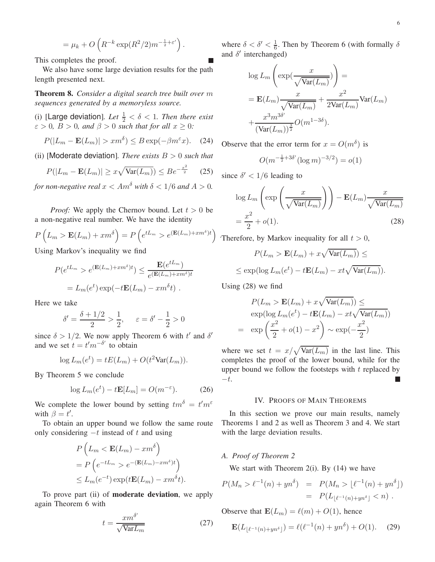$$
= \mu_k + O\left(R^{-k}\exp(R^2/2)m^{-\frac{1}{2}+\varepsilon'}\right).
$$

This completes the proof.

We also have some large deviation results for the path length presented next.

Theorem 8. *Consider a digital search tree built over* m *sequences generated by a memoryless source.*

(i) [Large deviation]. Let  $\frac{1}{2} < \delta < 1$ . Then there exist  $\varepsilon > 0$ ,  $B > 0$ , and  $\beta > 0$  such that for all  $x \geq 0$ :

$$
P(|L_m - \mathbf{E}(L_m)| > xm^{\delta}) \le B \exp(-\beta m^{\varepsilon} x). \quad (24)
$$

(ii) [Moderate deviation]*. There exists* B > 0 *such that*

$$
P(|L_m - \mathbf{E}(L_m)| \ge x\sqrt{\text{Var}(L_m)}) \le Be^{-\frac{x^2}{2}} \qquad (25)
$$

*for non-negative real*  $x < Am^{\delta}$  *with*  $\delta < 1/6$  *and*  $A > 0$ *.* 

*Proof:* We apply the Chernov bound. Let  $t > 0$  be a non-negative real number. We have the identity

$$
P\left(L_m > \mathbf{E}(L_m) + xm^{\delta}\right) = P\left(e^{tL_m} > e^{(\mathbf{E}(L_m) + xm^{\delta})t}\right)
$$

Using Markov's inequality we find

$$
P(e^{tL_m} > e^{(\mathbf{E}(L_m) + xm^{\delta})t}) \le \frac{\mathbf{E}(e^{tL_m})}{e^{(\mathbf{E}(L_m) + xm^{\delta})t}}
$$

$$
= L_m(e^t) \exp(-t\mathbf{E}(L_m) - xm^{\delta}t).
$$

Here we take

$$
\delta' = \frac{\delta + 1/2}{2} > \frac{1}{2}, \quad \varepsilon = \delta' - \frac{1}{2} > 0
$$

since  $\delta > 1/2$ . We now apply Theorem 6 with t' and  $\delta'$ and we set  $t = t'm^{-\delta'}$  to obtain

$$
\log L_m(e^t) = tE(L_m) + O(t^2 \text{Var}(L_m)).
$$

By Theorem 5 we conclude

$$
\log L_m(e^t) - t \mathbf{E}[L_m] = O(m^{-\varepsilon}).\tag{26}
$$

We complete the lower bound by setting  $tm^{\delta} = t'm^{\epsilon}$ with  $\beta = t'$ .

To obtain an upper bound we follow the same route only considering  $-t$  instead of t and using

$$
P\left(L_m < \mathbf{E}(L_m) - xm^\delta\right)
$$
\n
$$
= P\left(e^{-tL_m} > e^{-(\mathbf{E}(L_m) - xm^\delta)t}\right)
$$
\n
$$
\leq L_m(e^{-t}) \exp(t\mathbf{E}(L_m) - xm^\delta t).
$$

To prove part (ii) of moderate deviation, we apply again Theorem 6 with

$$
t = \frac{x m^{\delta'}}{\sqrt{\text{Var} L_m}}\tag{27}
$$

where  $\delta < \delta' < \frac{1}{6}$  $\frac{1}{6}$ . Then by Theorem 6 (with formally  $\delta$ and  $\delta'$  interchanged)

$$
\log L_m\left(\exp(\frac{x}{\sqrt{\text{Var}(L_m)}})\right) =
$$
  
=  $\mathbf{E}(L_m)\frac{x}{\sqrt{\text{Var}(L_m)}} + \frac{x^2}{2\text{Var}(L_m)}\text{Var}(L_m)$   
+  $\frac{x^3m^{3\delta'}}{(\text{Var}(L_m))^{\frac{3}{2}}}O(m^{1-3\delta}).$ 

Observe that the error term for  $x = O(m^{\delta})$  is

$$
O(m^{-\frac{1}{2} + 3\delta'}(\log m)^{-3/2}) = o(1)
$$

since  $\delta' < 1/6$  leading to

$$
\log L_m\left(\exp\left(\frac{x}{\sqrt{\text{Var}(L_m)}}\right)\right) - \mathbf{E}(L_m)\frac{x}{\sqrt{\text{Var}(L_m)}}
$$

$$
= \frac{x^2}{2} + o(1). \tag{28}
$$

. Therefore, by Markov inequality for all  $t > 0$ ,

$$
P(L_m > \mathbf{E}(L_m) + x\sqrt{\text{Var}(L_m)}) \le
$$

$$
\leq \exp(\log L_m(e^t) - t \mathbf{E}(L_m) - xt \sqrt{\text{Var}(L_m)}).
$$

Using (28) we find

$$
P(L_m > \mathbf{E}(L_m) + x\sqrt{\text{Var}(L_m)}) \le
$$
  
exp(log  $L_m(e^t) - t\mathbf{E}(L_m) - xt\sqrt{\text{Var}(L_m)}$ )  
= exp  $\left(\frac{x^2}{2} + o(1) - x^2\right) \sim \exp(-\frac{x^2}{2})$ 

where we set  $t = x/\sqrt{\text{Var}(L_m)}$  in the last line. This completes the proof of the lower bound, while for the upper bound we follow the footsteps with  $t$  replaced by  $-t.$ 

#### IV. PROOFS OF MAIN THEOREMS

In this section we prove our main results, namely Theorems 1 and 2 as well as Theorem 3 and 4. We start with the large deviation results.

# *A. Proof of Theorem 2*

We start with Theorem 2(i). By  $(14)$  we have

$$
P(M_n > \ell^{-1}(n) + yn^{\delta}) = P(M_n > \lfloor \ell^{-1}(n) + yn^{\delta} \rfloor)
$$
  
=  $P(L_{\lfloor \ell^{-1}(n) + yn^{\delta} \rfloor} < n).$ 

Observe that  $\mathbf{E}(L_m) = \ell(m) + O(1)$ , hence

$$
\mathbf{E}(L_{\lfloor \ell^{-1}(n) + yn^{\delta} \rfloor}) = \ell(\ell^{-1}(n) + yn^{\delta}) + O(1). \tag{29}
$$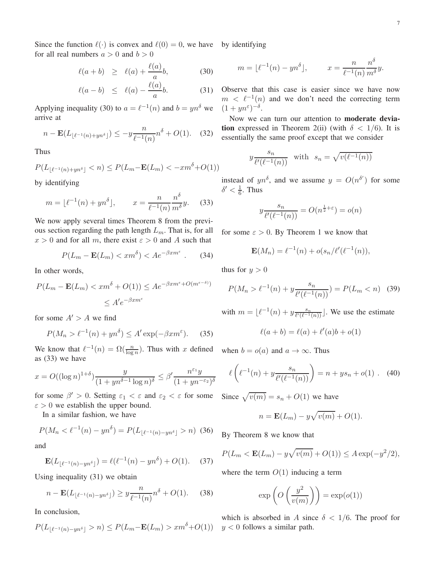Since the function  $\ell(\cdot)$  is convex and  $\ell(0) = 0$ , we have by identifying for all real numbers  $a > 0$  and  $b > 0$ 

$$
\ell(a+b) \ge \ell(a) + \frac{\ell(a)}{a}b,\tag{30}
$$

$$
\ell(a-b) \leq \ell(a) - \frac{\ell(a)}{a}b. \tag{31}
$$

Applying inequality (30) to  $a = \ell^{-1}(n)$  and  $b = yn^{\delta}$  we arrive at

$$
n - \mathbf{E}(L_{\lfloor \ell^{-1}(n) + yn^{\delta} \rfloor}) \le -y \frac{n}{\ell^{-1}(n)} n^{\delta} + O(1). \quad (32)
$$

Thus

$$
P(L_{\lfloor \ell^{-1}(n) + yn^{\delta} \rfloor} < n) \le P(L_m - \mathbf{E}(L_m) < -xm^{\delta} + O(1))
$$

by identifying

$$
m = \lfloor \ell^{-1}(n) + yn^{\delta} \rfloor, \qquad x = \frac{n}{\ell^{-1}(n)} \frac{n^{\delta}}{m^{\delta}} y. \tag{33}
$$

We now apply several times Theorem 8 from the previous section regarding the path length  $L_m$ . That is, for all  $x > 0$  and for all m, there exist  $\varepsilon > 0$  and A such that

$$
P(L_m - \mathbf{E}(L_m) < xm^\delta) < A e^{-\beta x m^\varepsilon} \tag{34}
$$

In other words,

$$
P(L_m - \mathbf{E}(L_m) < xm^\delta + O(1)) \le A e^{-\beta x m^\varepsilon + O(m^{\varepsilon - \delta})}
$$
\n
$$
\le A' e^{-\beta x m^\varepsilon}
$$

for some  $A' > A$  we find

$$
P(M_n > \ell^{-1}(n) + yn^{\delta}) \le A' \exp(-\beta x m^{\varepsilon}).
$$
 (35)

We know that  $\ell^{-1}(n) = \Omega(\frac{n}{\log n})$ . Thus with x defined when  $b = o(a)$  and  $a \to \infty$ . Thus as (33) we have

$$
x = O((\log n)^{1+\delta}) \frac{y}{(1+yn^{\delta-1}\log n)^{\delta}} \le \beta' \frac{n^{\varepsilon_1}y}{(1+yn^{-\varepsilon_2})^{\delta}}
$$

for some  $\beta' > 0$ . Setting  $\varepsilon_1 < \varepsilon$  and  $\varepsilon_2 < \varepsilon$  for some Since  $\sqrt{v(m)} = s_n + O(1)$  we have  $\epsilon > 0$  we establish the upper bound.

In a similar fashion, we have

$$
P(M_n < \ell^{-1}(n) - yn^\delta) = P(L_{\lfloor \ell^{-1}(n) - yn^\delta \rfloor} > n) \tag{36}
$$

and

$$
\mathbf{E}(L_{\lfloor \ell^{-1}(n) - yn^{\delta} \rfloor}) = \ell(\ell^{-1}(n) - yn^{\delta}) + O(1). \quad (37)
$$

Using inequality (31) we obtain

$$
n - \mathbf{E}(L_{\lfloor \ell^{-1}(n) - y n^{\delta} \rfloor}) \ge y \frac{n}{\ell^{-1}(n)} n^{\delta} + O(1). \tag{38}
$$

In conclusion,

$$
P(L_{\lfloor \ell^{-1}(n) - yn^{\delta} \rfloor} > n) \le P(L_m - \mathbf{E}(L_m) > xm^{\delta} + O(1))
$$

$$
m = \lfloor \ell^{-1}(n) - yn^{\delta} \rfloor, \qquad x = \frac{n}{\ell^{-1}(n)} \frac{n^{\delta}}{m^{\delta}} y.
$$

Observe that this case is easier since we have now  $m < \ell^{-1}(n)$  and we don't need the correcting term  $(1+yn^{\varepsilon})^{-\delta}$ .

Now we can turn our attention to moderate deviation expressed in Theorem 2(ii) (with  $\delta$  < 1/6). It is essentially the same proof except that we consider

$$
y \frac{s_n}{\ell'(\ell^{-1}(n))}
$$
 with  $s_n = \sqrt{v(\ell^{-1}(n))}$ 

instead of  $yn^{\delta}$ , and we assume  $y = O(n^{\delta'})$  for some  $\delta' < \frac{1}{6}$ . Thus

$$
y\frac{s_n}{\ell'(\ell^{-1}(n))} = O(n^{\frac{1}{2}+\varepsilon}) = o(n)
$$

for some  $\varepsilon > 0$ . By Theorem 1 we know that

$$
\mathbf{E}(M_n) = \ell^{-1}(n) + o(s_n/\ell'(\ell^{-1}(n)),
$$

thus for  $y > 0$ 

$$
P(M_n > \ell^{-1}(n) + y \frac{s_n}{\ell'(\ell^{-1}(n))}) = P(L_m < n) \quad (39)
$$

with  $m = \lfloor \ell^{-1}(n) + y \frac{s_n}{\ell'(\ell^{-1})} \rfloor$  $\frac{s_n}{\ell'(\ell^{-1}(n))}$ . We use the estimate

$$
\ell(a+b) = \ell(a) + \ell'(a)b + o(1)
$$

$$
\ell\left(\ell^{-1}(n) + y\frac{s_n}{\ell'(\ell^{-1}(n))}\right) = n + ys_n + o(1) \ . \tag{40}
$$

$$
n = \mathbf{E}(L_m) - y\sqrt{v(m)} + O(1).
$$

By Theorem 8 we know that

$$
P(L_m < \mathbf{E}(L_m) - y\sqrt{v(m)} + O(1)) \le A \exp(-y^2/2),
$$

where the term  $O(1)$  inducing a term

$$
\exp\left(O\left(\frac{y^2}{v(m)}\right)\right) = \exp(o(1))
$$

which is absorbed in A since  $\delta < 1/6$ . The proof for  $y < 0$  follows a similar path.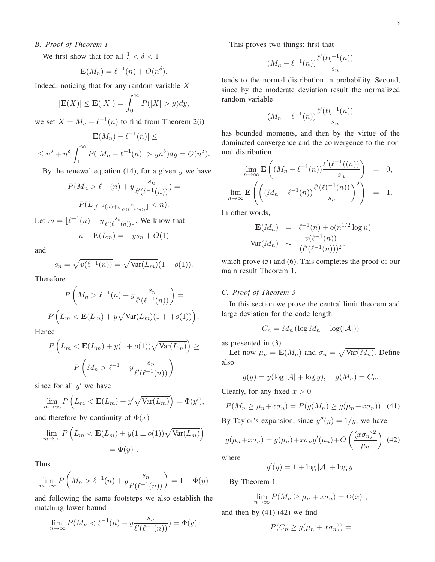# *B. Proof of Theorem 1*

We first show that for all  $\frac{1}{2} < \delta < 1$ 

$$
\mathbf{E}(M_n) = \ell^{-1}(n) + O(n^{\delta}).
$$

Indeed, noticing that for any random variable  $X$ 

$$
|\mathbf{E}(X)| \le \mathbf{E}(|X|) = \int_0^\infty P(|X| > y) dy,
$$

we set  $X = M_n - \ell^{-1}(n)$  to find from Theorem 2(i)

$$
|\mathbf{E}(M_n) - \ell^{-1}(n)| \le
$$
  

$$
\le n^{\delta} + n^{\delta} \int_1^{\infty} P(|M_n - \ell^{-1}(n)| > yn^{\delta}) dy = O(n^{\delta}).
$$

By the renewal equation  $(14)$ , for a given y we have

$$
P(M_n > \ell^{-1}(n) + y \frac{s_n}{\ell'(\ell^{-1}(n))}) =
$$
  
 
$$
P(L_{\lfloor \ell^{-1}(n) + y \frac{s_n}{\ell'(\ell^{-1}(n))} \rfloor} < n).
$$

Let  $m = \lfloor \ell^{-1}(n) + y \frac{s_n}{\ell'(\ell^{-1})} \rfloor$  $\frac{s_n}{\ell'(\ell^{-1}(n))}$ . We know that

$$
n - \mathbf{E}(L_m) = -ys_n + O(1)
$$

and

$$
s_n = \sqrt{v(\ell^{-1}(n))} = \sqrt{\text{Var}(L_m)}(1 + o(1)).
$$

Therefore

$$
P\left(M_n > \ell^{-1}(n) + y\frac{s_n}{\ell'(\ell^{-1}(n))}\right) =
$$

$$
P\left(L_m < \mathbf{E}(L_m) + y\sqrt{\text{Var}(L_m)}(1 + o(1))\right).
$$

Hence

$$
P\left(L_m < \mathbf{E}(L_m) + y(1 + o(1))\sqrt{\text{Var}(L_m)}\right) \ge
$$
\n
$$
P\left(M_n > \ell^{-1} + y\frac{s_n}{\ell'(\ell^{-1}(n))}\right)
$$

since for all  $y'$  we have

$$
\lim_{m \to \infty} P\left(L_m < \mathbf{E}(L_m) + y' \sqrt{\text{Var}(L_m)}\right) = \Phi(y'),
$$

and therefore by continuity of  $\Phi(x)$ 

$$
\lim_{m \to \infty} P\left(L_m < \mathbf{E}(L_m) + y(1 \pm o(1))\sqrt{\text{Var}(L_m)}\right)
$$
\n
$$
= \Phi(y) \ .
$$

Thus

$$
\lim_{m \to \infty} P\left(M_n > \ell^{-1}(n) + y \frac{s_n}{\ell'(\ell^{-1}(n))}\right) = 1 - \Phi(y)
$$

and following the same footsteps we also establish the matching lower bound

$$
\lim_{m \to \infty} P(M_n < \ell^{-1}(n) - y \frac{s_n}{\ell'(\ell^{-1}(n))}) = \Phi(y).
$$

This proves two things: first that

$$
(M_n - \ell^{-1}(n)) \frac{\ell'(\ell(-1(n)))}{s_n}
$$

tends to the normal distribution in probability. Second, since by the moderate deviation result the normalized random variable

$$
(M_n - \ell^{-1}(n)) \frac{\ell'(\ell(-1(n)))}{s_n}
$$

has bounded moments, and then by the virtue of the dominated convergence and the convergence to the normal distribution

$$
\lim_{n \to \infty} \mathbf{E}\left((M_n - \ell^{-1}(n)) \frac{\ell'(\ell^{-1}((n))}{s_n}\right) = 0,
$$
  

$$
\lim_{n \to \infty} \mathbf{E}\left(\left((M_n - \ell^{-1}(n)) \frac{\ell'(\ell(-1(n)))}{s_n}\right)^2\right) = 1.
$$

In other words,

$$
\mathbf{E}(M_n) = \ell^{-1}(n) + o(n^{1/2} \log n)
$$
  
 
$$
\text{Var}(M_n) \sim \frac{v(\ell^{-1}(n))}{(\ell'(\ell^{-1}(n)))^2}.
$$

which prove  $(5)$  and  $(6)$ . This completes the proof of our main result Theorem 1.

# *C. Proof of Theorem 3*

In this section we prove the central limit theorem and large deviation for the code length

$$
C_n = M_n \left( \log M_n + \log(|\mathcal{A}|) \right)
$$

as presented in (3).

Let now  $\mu_n = \mathbf{E}(M_n)$  and  $\sigma_n = \sqrt{\text{Var}(M_n)}$ . Define also

$$
g(y) = y(\log |\mathcal{A}| + \log y), \quad g(M_n) = C_n.
$$

Clearly, for any fixed  $x > 0$ 

$$
P(M_n \ge \mu_n + x \sigma_n) = P(g(M_n) \ge g(\mu_n + x \sigma_n)). \tag{41}
$$

By Taylor's expansion, since  $g''(y) = 1/y$ , we have

$$
g(\mu_n + x\sigma_n) = g(\mu_n) + x\sigma_n g'(\mu_n) + O\left(\frac{(x\sigma_n)^2}{\mu_n}\right)
$$
 (42)

where

$$
g'(y) = 1 + \log |\mathcal{A}| + \log y.
$$

By Theorem 1

$$
\lim_{n \to \infty} P(M_n \ge \mu_n + x \sigma_n) = \Phi(x) ,
$$

and then by  $(41)-(42)$  we find

$$
P(C_n \ge g(\mu_n + x\sigma_n)) =
$$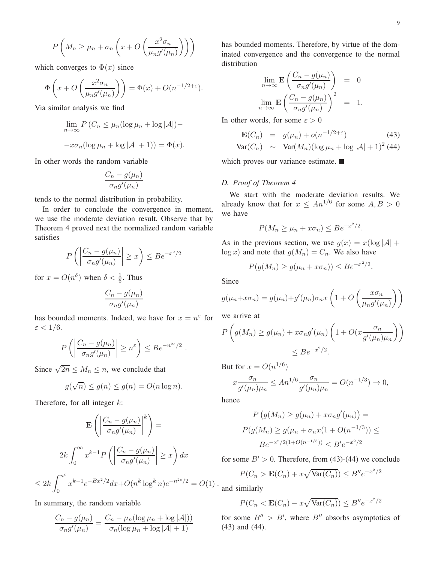$$
P\left(M_n \ge \mu_n + \sigma_n\left(x + O\left(\frac{x^2 \sigma_n}{\mu_n g'(\mu_n)}\right)\right)\right)
$$

which converges to  $\Phi(x)$  since

$$
\Phi\left(x+O\left(\frac{x^2\sigma_n}{\mu_n g'(\mu_n)}\right)\right) = \Phi(x) + O(n^{-1/2+\varepsilon}).
$$

Via similar analysis we find

$$
\lim_{n \to \infty} P(C_n \le \mu_n(\log \mu_n + \log |\mathcal{A}|) -
$$

$$
-x\sigma_n(\log \mu_n + \log |\mathcal{A}| + 1)) = \Phi(x).
$$

In other words the random variable

$$
\frac{C_n - g(\mu_n)}{\sigma_n g'(\mu_n)}
$$

tends to the normal distribution in probability.

In order to conclude the convergence in moment, we use the moderate deviation result. Observe that by Theorem 4 proved next the normalized random variable satisfies

$$
P\left(\left|\frac{C_n - g(\mu_n)}{\sigma_n g'(\mu_n)}\right| \ge x\right) \le Be^{-x^2/2}
$$

for  $x = O(n^{\delta})$  when  $\delta < \frac{1}{6}$ . Thus

$$
\frac{C_n - g(\mu_n)}{\sigma_n g'(\mu_n)}
$$

has bounded moments. Indeed, we have for  $x = n^{\varepsilon}$  for  $\varepsilon < 1/6$ .

$$
P\left(\left|\frac{C_n - g(\mu_n)}{\sigma_n g'(\mu_n)}\right| \geq n^{\varepsilon}\right) \leq Be^{-n^{2\varepsilon}/2}.
$$

Since  $\sqrt{2n} \leq M_n \leq n$ , we conclude that

$$
g(\sqrt{n}) \le g(n) \le g(n) = O(n \log n).
$$

Therefore, for all integer  $k$ :

$$
\mathbf{E}\left(\left|\frac{C_n - g(\mu_n)}{\sigma_n g'(\mu_n)}\right|^k\right) = P\left(\frac{C_n - g(\mu_n)}{\sigma_n g'(\mu_n)}\right)^k
$$
\n
$$
2k \int_0^\infty x^{k-1} P\left(\left|\frac{C_n - g(\mu_n)}{\sigma_n g'(\mu_n)}\right| \ge x\right) dx \qquad \text{for some } B' \ge 2k \int_0^{n^\varepsilon} x^{k-1} e^{-Bx^2/2} dx + O(n^k \log^k n) e^{-n^{2\varepsilon}/2} = O(1) \cdot \text{and similarly}
$$

In summary, the random variable

$$
\frac{C_n - g(\mu_n)}{\sigma_n g'(\mu_n)} = \frac{C_n - \mu_n(\log \mu_n + \log |\mathcal{A}|))}{\sigma_n(\log \mu_n + \log |\mathcal{A}| + 1)}
$$

has bounded moments. Therefore, by virtue of the dominated convergence and the convergence to the normal distribution

$$
\lim_{n \to \infty} \mathbf{E} \left( \frac{C_n - g(\mu_n)}{\sigma_n g'(\mu_n)} \right) = 0
$$
  

$$
\lim_{n \to \infty} \mathbf{E} \left( \frac{C_n - g(\mu_n)}{\sigma_n g'(\mu_n)} \right)^2 = 1.
$$

In other words, for some  $\varepsilon > 0$ 

$$
\mathbf{E}(C_n) = g(\mu_n) + o(n^{-1/2 + \varepsilon}) \tag{43}
$$
  
 
$$
\text{Var}(C_n) \sim \text{Var}(M_n)(\log \mu_n + \log |\mathcal{A}| + 1)^2 \tag{44}
$$

which proves our variance estimate.

#### *D. Proof of Theorem 4*

We start with the moderate deviation results. We already know that for  $x \leq An^{1/6}$  for some  $A, B > 0$ we have

$$
P(M_n \ge \mu_n + x \sigma_n) \le Be^{-x^2/2}.
$$

As in the previous section, we use  $g(x) = x(\log |\mathcal{A}| +$  $\log x$ ) and note that  $g(M_n) = C_n$ . We also have

$$
P(g(M_n) \ge g(\mu_n + x\sigma_n)) \le Be^{-x^2/2}.
$$

Since

$$
g(\mu_n + x\sigma_n) = g(\mu_n) + g'(\mu_n)\sigma_n x \left(1 + O\left(\frac{x\sigma_n}{\mu_n g'(\mu_n)}\right)\right)
$$

we arrive at

$$
P\left(g(M_n) \ge g(\mu_n) + x\sigma_n g'(\mu_n) \left(1 + O\left(x \frac{\sigma_n}{g'(\mu_n)\mu_n}\right)\right)\right)
$$
  
\$\le Be^{-x^2/2}\$.

But for  $x = O(n^{1/6})$ 

$$
x \frac{\sigma_n}{g'(\mu_n)\mu_n} \le A n^{1/6} \frac{\sigma_n}{g'(\mu_n)\mu_n} = O(n^{-1/3}) \to 0,
$$

hence

$$
P(g(M_n) \ge g(\mu_n) + x\sigma_n g'(\mu_n)) =
$$
  
 
$$
P(g(M_n) \ge g(\mu_n + \sigma_n x(1 + O(n^{-1/3})) \le B e^{-x^2/2(1 + O(n^{-1/3}))} \le B' e^{-x^2/2}
$$

for some  $B' > 0$ . Therefore, from (43)-(44) we conclude

$$
P(C_n > \mathbf{E}(C_n) + x\sqrt{\text{Var}(C_n)}) \le B''e^{-x^2/2}
$$

$$
P(C_n < \mathbf{E}(C_n) - x\sqrt{\text{Var}(C_n)}) \le B'' e^{-x^2/2}
$$

for some  $B'' > B'$ , where  $B''$  absorbs asymptotics of (43) and (44).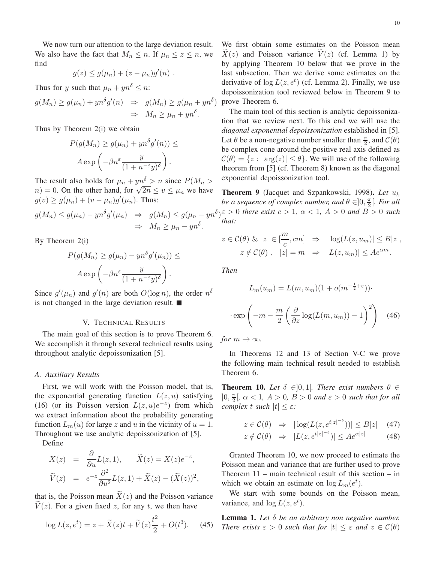We now turn our attention to the large deviation result. We also have the fact that  $M_n \le n$ . If  $\mu_n \le z \le n$ , we find

$$
g(z) \leq g(\mu_n) + (z - \mu_n)g'(n) .
$$

Thus for y such that  $\mu_n + yn^{\delta} \leq n$ :

$$
g(M_n) \ge g(\mu_n) + yn^{\delta}g'(n) \Rightarrow g(M_n) \ge g(\mu_n + yn^{\delta})
$$
  

$$
\Rightarrow M_n \ge \mu_n + yn^{\delta}.
$$

Thus by Theorem 2(i) we obtain

$$
P(g(M_n) \ge g(\mu_n) + yn^{\delta}g'(n)) \le
$$

$$
A \exp\left(-\beta n^{\varepsilon} \frac{y}{(1+n^{-\varepsilon}y)^{\delta}}\right).
$$

The result also holds for  $\mu_n + yn^{\delta} > n$  since  $P(M_n >$  $n = 0$ . On the other hand, for  $\sqrt{2n} \le v \le \mu_n$  we have  $g(v) \ge g(\mu_n) + (v - \mu_n)g'(\mu_n)$ . Thus:

$$
g(M_n) \le g(\mu_n) - yn^{\delta}g'(\mu_n) \Rightarrow g(M_n) \le g(\mu_n - yn^{\delta})
$$
  

$$
\Rightarrow M_n \ge \mu_n - yn^{\delta}.
$$

By Theorem 2(i)

$$
P(g(M_n) \ge g(\mu_n) - yn^{\delta}g'(\mu_n)) \le
$$

$$
A \exp\left(-\beta n^{\varepsilon} \frac{y}{(1+n^{-\varepsilon}y)^{\delta}}\right).
$$

Since  $g'(\mu_n)$  and  $g'(n)$  are both  $O(\log n)$ , the order  $n^{\delta}$ is not changed in the large deviation result.

# V. TECHNICAL RESULTS

The main goal of this section is to prove Theorem 6. We accomplish it through several technical results using throughout analytic depoissonization [5].

#### *A. Auxiliary Results*

First, we will work with the Poisson model, that is, the exponential generating function  $L(z, u)$  satisfying (16) (or its Poisson version  $L(z, u)e^{-z}$ ) from which we extract information about the probability generating function  $L_m(u)$  for large z and u in the vicinity of  $u = 1$ . Throughout we use analytic depoissonization of [5].

Define

$$
X(z) = \frac{\partial}{\partial u} L(z, 1), \quad \tilde{X}(z) = X(z)e^{-z},
$$
  

$$
\tilde{V}(z) = e^{-z} \frac{\partial^2}{\partial u^2} L(z, 1) + \tilde{X}(z) - (\tilde{X}(z))^2,
$$

that is, the Poisson mean  $\widetilde{X}(z)$  and the Poisson variance  $V(z)$ . For a given fixed z, for any t, we then have

$$
\log L(z, e^t) = z + \tilde{X}(z)t + \tilde{V}(z)\frac{t^2}{2} + O(t^3). \tag{45}
$$

We first obtain some estimates on the Poisson mean  $X(z)$  and Poisson variance  $V(z)$  (cf. Lemma 1) by by applying Theorem 10 below that we prove in the last subsection. Then we derive some estimates on the derivative of  $log L(z, e^t)$  (cf. Lemma 2). Finally, we use depoissonization tool reviewed below in Theorem 9 to prove Theorem 6.

The main tool of this section is analytic depoissonization that we review next. To this end we will use the *diagonal exponential depoissonization* established in [5]. Let  $\theta$  be a non-negative number smaller than  $\frac{\pi}{2}$ , and  $\mathcal{C}(\theta)$ be complex cone around the positive real axis defined as  $\mathcal{C}(\theta) = \{z : \arg(z) \leq \theta\}$ . We will use of the following theorem from [5] (cf. Theorem 8) known as the diagonal exponential depoissonization tool.

 $\int_{0}^{\varepsilon}$  > 0 *there exist*  $c > 1$ ,  $\alpha < 1$ ,  $A > 0$  *and*  $B > 0$  *such* Theorem 9 (Jacquet and Szpankowski, 1998). *Let* u<sup>k</sup> *be a sequence of complex number, and*  $\theta \in ]0, \frac{\pi}{2}$  $\frac{\pi}{2}$ [*. For all that:*

$$
z \in \mathcal{C}(\theta) \& |z| \in [\frac{m}{c}, cm] \Rightarrow |\log(L(z, u_m)| \leq B|z|,
$$
  

$$
z \notin \mathcal{C}(\theta), |z| = m \Rightarrow |L(z, u_m)| \leq A e^{\alpha m}.
$$

*Then*

$$
L_m(u_m) = L(m, u_m)(1 + o(m^{-\frac{1}{2} + \varepsilon}))\cdot
$$

$$
\cdot \exp\left(-m - \frac{m}{2} \left(\frac{\partial}{\partial z} \log(L(m, u_m)) - 1\right)^2\right) \quad (46)
$$

*for*  $m \to \infty$ *.* 

In Theorems 12 and 13 of Section V-C we prove the following main technical result needed to establish Theorem 6.

**Theorem 10.** Let  $\delta \in ]0,1[$ . There exist numbers  $\theta \in$  $]0, \frac{\pi}{2}$  $\frac{\pi}{2}$ ,  $\alpha$  < 1*, A* > 0*, B* > 0 *and*  $\varepsilon$  > 0 *such that for all complex* t *such*  $|t| \leq \varepsilon$ *:* 

$$
z \in \mathcal{C}(\theta) \quad \Rightarrow \quad |\log(L(z, e^{t|z|^{-\delta}}))| \leq B|z| \quad (47)
$$

$$
z \notin \mathcal{C}(\theta) \quad \Rightarrow \quad |L(z, e^{t|z|^{-\delta}})| \le A e^{\alpha |z|} \tag{48}
$$

Granted Theorem 10, we now proceed to estimate the Poisson mean and variance that are further used to prove Theorem 11 – main technical result of this section – in which we obtain an estimate on  $\log L_m(e^t)$ .

We start with some bounds on the Poisson mean, variance, and  $\log L(z, e^t)$ .

Lemma 1. *Let* δ *be an arbitrary non negative number. There exists*  $\varepsilon > 0$  *such that for*  $|t| \leq \varepsilon$  *and*  $z \in C(\theta)$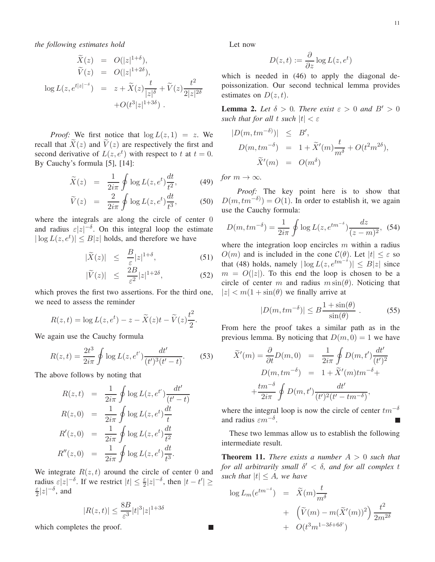*the following estimates hold*

$$
\widetilde{X}(z) = O(|z|^{1+\delta}),
$$
\n
$$
\widetilde{V}(z) = O(|z|^{1+2\delta}),
$$
\n
$$
\log L(z, e^{t|z|^{-\delta}}) = z + \widetilde{X}(z) \frac{t}{|z|^{\delta}} + \widetilde{V}(z) \frac{t^2}{2|z|^{2\delta}}
$$
\n
$$
+ O(t^3 |z|^{1+3\delta}).
$$

*Proof:* We first notice that  $\log L(z, 1) = z$ . We recall that  $\widetilde{X}(z)$  and  $\widetilde{V}(z)$  are respectively the first and second derivative of  $L(z, e^t)$  with respect to t at  $t = 0$ . By Cauchy's formula [5], [14]:

$$
\widetilde{X}(z) = \frac{1}{2i\pi} \oint \log L(z, e^t) \frac{dt}{t^2}, \quad (49)
$$

$$
\widetilde{V}(z) = \frac{2}{2i\pi} \oint \log L(z, e^t) \frac{dt}{t^3},
$$
\n(50)

where the integrals are along the circle of center 0 and radius  $\varepsilon |z|^{-\delta}$ . On this integral loop the estimate  $|\log L(z, e^t)| \leq B|z|$  holds, and therefore we have

$$
|\widetilde{X}(z)| \leq \frac{B}{\varepsilon} |z|^{1+\delta}, \tag{51}
$$

$$
|\widetilde{V}(z)| \le \frac{2B}{\varepsilon^2}|z|^{1+2\delta}, \tag{52}
$$

which proves the first two assertions. For the third one, we need to assess the reminder

$$
R(z,t) = \log L(z, e^t) - z - \widetilde{X}(z)t - \widetilde{V}(z)\frac{t^2}{2}.
$$

We again use the Cauchy formula

$$
R(z,t) = \frac{2t^3}{2i\pi} \oint \log L(z, e^{t'}) \frac{dt'}{(t')^3 (t'-t)}.
$$
 (53)

The above follows by noting that

$$
R(z,t) = \frac{1}{2i\pi} \oint \log L(z, e^{t'}) \frac{dt'}{(t'-t)}
$$
  
\n
$$
R(z,0) = \frac{1}{2i\pi} \oint \log L(z, e^t) \frac{dt}{t}
$$
  
\n
$$
R'(z,0) = \frac{1}{2i\pi} \oint \log L(z, e^t) \frac{dt}{t^2}
$$
  
\n
$$
R''(z,0) = \frac{1}{2i\pi} \oint \log L(z, e^t) \frac{dt}{t^3}.
$$

We integrate  $R(z, t)$  around the circle of center 0 and radius  $\varepsilon |z|^{-\delta}$ . If we restrict  $|t| \leq \frac{\varepsilon}{2} |z|^{-\delta}$ , then  $|t - t'| \geq$ ε  $\frac{\varepsilon}{2}|z|^{-\delta}$ , and

$$
|R(z,t)| \le \frac{8B}{\varepsilon^3} |t|^3 |z|^{1+3\delta}
$$

which completes the proof.

Let now

$$
D(z,t) := \frac{\partial}{\partial z} \log L(z, e^t)
$$

which is needed in (46) to apply the diagonal depoissonization. Our second technical lemma provides estimates on  $D(z, t)$ .

**Lemma 2.** Let  $\delta > 0$ . There exist  $\varepsilon > 0$  and  $B' > 0$ *such that for all t such*  $|t| < \varepsilon$ 

$$
|D(m,tm^{-\delta})| \leq B',
$$
  
\n
$$
D(m,tm^{-\delta}) = 1 + \tilde{X}'(m)\frac{t}{m^{\delta}} + O(t^2m^{2\delta}),
$$
  
\n
$$
\tilde{X}'(m) = O(m^{\delta})
$$

*for*  $m \to \infty$ *.* 

*Proof:* The key point here is to show that  $D(m, tm^{-\delta}) = O(1)$ . In order to establish it, we again use the Cauchy formula:

$$
D(m, tm^{-\delta}) = \frac{1}{2i\pi} \oint \log L(z, e^{tm^{-\delta}}) \frac{dz}{(z-m)^2},
$$
 (54)

where the integration loop encircles  $m$  within a radius  $O(m)$  and is included in the cone  $C(\theta)$ . Let  $|t| < \varepsilon$  so that (48) holds, namely  $|\log L(z, e^{tm^{-\delta}})| \leq B|z|$  since  $m = O(|z|)$ . To this end the loop is chosen to be a circle of center m and radius  $m \sin(\theta)$ . Noticing that  $|z| < m(1 + \sin(\theta))$  we finally arrive at

$$
|D(m, tm^{-\delta})| \le B \frac{1 + \sin(\theta)}{\sin(\theta)} . \tag{55}
$$

From here the proof takes a similar path as in the previous lemma. By noticing that  $D(m, 0) = 1$  we have

$$
\widetilde{X}'(m) = \frac{\partial}{\partial t} D(m, 0) = \frac{1}{2i\pi} \oint D(m, t') \frac{dt'}{(t')^2}
$$

$$
D(m, tm^{-\delta}) = 1 + \widetilde{X}'(m)tm^{-\delta} + \frac{tm^{-\delta}}{2i\pi} \oint D(m, t') \frac{dt'}{(t')^2 (t' - tm^{-\delta})},
$$

where the integral loop is now the circle of center  $tm^{-\delta}$ and radius  $\varepsilon m^{-\delta}$ . П

These two lemmas allow us to establish the following intermediate result.

**Theorem 11.** *There exists a number*  $A > 0$  *such that for all arbitrarily small* δ ′ < δ*, and for all complex* t *such that*  $|t| \leq A$ *, we have* 

$$
\log L_m(e^{tm^{-\delta}}) = \widetilde{X}(m)\frac{t}{m^{\delta}}
$$
  
+ 
$$
\left(\widetilde{V}(m) - m(\widetilde{X}'(m))^2\right)\frac{t^2}{2m^{2\delta}}
$$
  
+ 
$$
O(t^3m^{1-3\delta+6\delta'})
$$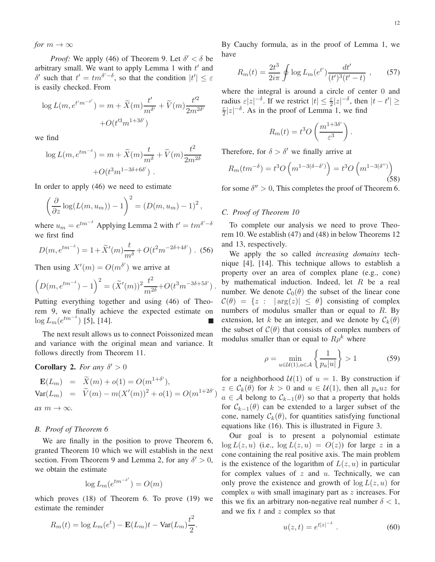*for*  $m \to \infty$ 

*Proof:* We apply (46) of Theorem 9. Let  $\delta' < \delta$  be arbitrary small. We want to apply Lemma 1 with  $t'$  and δ' such that  $t' = tm<sup>δ' - δ</sup>$ , so that the condition  $|t'| \leq ε$ is easily checked. From

$$
\log L(m, e^{t'm^{-\delta'}}) = m + \widetilde{X}(m) \frac{t'}{m^{\delta'}} + \widetilde{V}(m) \frac{t'^2}{2m^{2\delta'}}
$$

$$
+ O(t'^3 m^{1+3\delta'})
$$

we find

$$
\log L(m, e^{tm^{-\delta}}) = m + \widetilde{X}(m) \frac{t}{m^{\delta}} + \widetilde{V}(m) \frac{t^2}{2m^{2\delta}}
$$

$$
+ O(t^3 m^{1-3\delta + 6\delta'}).
$$

In order to apply (46) we need to estimate

$$
\left(\frac{\partial}{\partial z}\log(L(m, u_m)) - 1\right)^2 = \left(D(m, u_m) - 1\right)^2,
$$

where  $u_m = e^{tm^{-\delta}}$  Applying Lemma 2 with  $t' = tm^{\delta' - \delta}$ we first find

$$
D(m, e^{tm^{-\delta}}) = 1 + \tilde{X}'(m)\frac{t}{m^{\delta}} + O(t^2 m^{-2\delta + 4\delta'})
$$
 (56)

Then using  $X'(m) = O(m^{\delta'})$  we arrive at

$$
\left(D(m, e^{tm^{-\delta}}) - 1\right)^2 = (\widetilde{X}'(m))^2 \frac{t^2}{m^{2\delta}} + O(t^3 m^{-3\delta + 5\delta'}).
$$

Putting everything together and using (46) of Theorem 9, we finally achieve the expected estimate on  $\log L_m(e^{tm^{-\delta}})$  [5], [14].

The next result allows us to connect Poissonized mean and variance with the original mean and variance. It follows directly from Theorem 11.

# **Corollary 2.** For any  $\delta' > 0$

$$
\mathbf{E}(L_m) = \widetilde{X}(m) + o(1) = O(m^{1+\delta'}),
$$
  
\n
$$
\text{Var}(L_m) = \widetilde{V}(m) - m(X'(m))^2 + o(1) = O(m^{1+2\delta'}).
$$
  
\nas  $m \to \infty$ .

# *B. Proof of Theorem 6*

We are finally in the position to prove Theorem 6, granted Theorem 10 which we will establish in the next section. From Theorem 9 and Lemma 2, for any  $\delta' > 0$ , we obtain the estimate

$$
\log L_m(e^{tm^{-\delta'}}) = O(m)
$$

which proves (18) of Theorem 6. To prove (19) we estimate the reminder

$$
R_m(t) = \log L_m(e^t) - \mathbf{E}(L_m)t - \text{Var}(L_m)\frac{t^2}{2}.
$$

By Cauchy formula, as in the proof of Lemma 1, we have

$$
R_m(t) = \frac{2t^3}{2i\pi} \oint \log L_m(e^{t'}) \frac{dt'}{(t')^3 (t'-t)}, \qquad (57)
$$

where the integral is around a circle of center 0 and radius  $\varepsilon |z|^{-\delta}$ . If we restrict  $|t| \leq \frac{\varepsilon}{2}|z|^{-\delta}$ , then  $|t-t'| \geq$ ε  $\frac{\varepsilon}{2}|z|^{-\delta}$ . As in the proof of Lemma 1, we find

$$
R_m(t) = t^3 O\left(\frac{m^{1+3\delta'}}{\varepsilon^3}\right).
$$

Therefore, for  $\delta > \delta'$  we finally arrive at

$$
R_m(tm^{-\delta}) = t^3 O\left(m^{1-3(\delta-\delta')}\right) = t^3 O\left(m^{1-3(\delta'')}\right)
$$
\n(58)

for some  $\delta'' > 0$ , This completes the proof of Theorem 6.

# *C. Proof of Theorem 10*

)

To complete our analysis we need to prove Theorem 10. We establish (47) and (48) in below Theorems 12 and 13, respectively.

We apply the so called *increasing domains* technique [4], [14]. This technique allows to establish a property over an area of complex plane (e.g., cone) by mathematical induction. Indeed, let  $R$  be a real number. We denote  $C_0(\theta)$  the subset of the linear cone  $\mathcal{C}(\theta) = \{z : |arg(z)| \leq \theta\}$  consisting of complex numbers of modulus smaller than or equal to  $R$ . By extension, let k be an integer, and we denote by  $\mathcal{C}_k(\theta)$ the subset of  $\mathcal{C}(\theta)$  that consists of complex numbers of modulus smaller than or equal to  $R\rho^k$  where

$$
\rho = \min_{u \in \mathcal{U}(1), a \in \mathcal{A}} \left\{ \frac{1}{p_a |u|} \right\} > 1
$$
\n(59)

for a neighborhood  $U(1)$  of  $u = 1$ . By construction if  $z \in \mathcal{C}_k(\theta)$  for  $k > 0$  and  $u \in \mathcal{U}(1)$ , then all  $p_a u z$  for  $a \in A$  belong to  $C_{k-1}(\theta)$  so that a property that holds for  $C_{k-1}(\theta)$  can be extended to a larger subset of the cone, namely  $\mathcal{C}_k(\theta)$ , for quantities satisfying functional equations like (16). This is illustrated in Figure 3.

Our goal is to present a polynomial estimate  $\log L(z, u)$  (i.e.,  $\log L(z, u) = O(z)$ ) for large z in a cone containing the real positive axis. The main problem is the existence of the logarithm of  $L(z, u)$  in particular for complex values of  $z$  and  $u$ . Technically, we can only prove the existence and growth of  $\log L(z, u)$  for complex  $u$  with small imaginary part as  $z$  increases. For this we fix an arbitrary non-negative real number  $\delta < 1$ , and we fix  $t$  and  $z$  complex so that

$$
u(z,t) = e^{t|z|^{-\delta}} \tag{60}
$$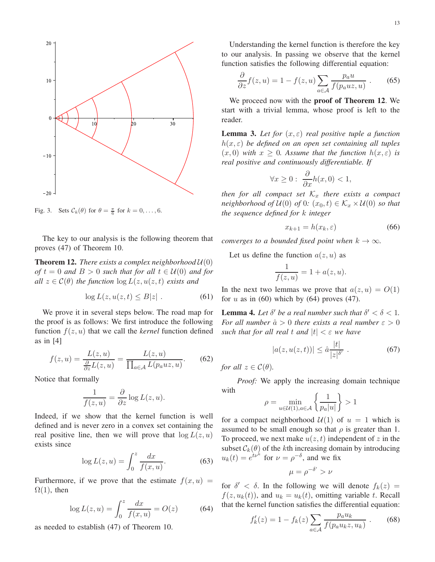

Fig. 3. Sets  $\mathcal{C}_k(\theta)$  for  $\theta = \frac{\pi}{6}$  for  $k = 0, \ldots, 6$ .

The key to our analysis is the following theorem that proves (47) of Theorem 10.

**Theorem 12.** *There exists a complex neighborhood*  $U(0)$ *of*  $t = 0$  *and*  $B > 0$  *such that for all*  $t \in U(0)$  *and for all*  $z \in C(\theta)$  *the function*  $\log L(z, u(z, t))$  *exists and* 

$$
\log L(z, u(z, t) \le B|z| \ . \tag{61}
$$

We prove it in several steps below. The road map for the proof is as follows: We first introduce the following function  $f(z, u)$  that we call the *kernel* function defined as in [4]

$$
f(z, u) = \frac{L(z, u)}{\frac{\partial}{\partial z}L(z, u)} = \frac{L(z, u)}{\prod_{a \in \mathcal{A}} L(p_a u z, u)}.
$$
 (62)

Notice that formally

$$
\frac{1}{f(z,u)} = \frac{\partial}{\partial z} \log L(z,u).
$$

Indeed, if we show that the kernel function is well defined and is never zero in a convex set containing the real positive line, then we will prove that  $log L(z, u)$ exists since

$$
\log L(z, u) = \int_0^z \frac{dx}{f(x, u)}.\tag{63}
$$

Furthermore, if we prove that the estimate  $f(x, u) =$  $\Omega(1)$ , then

$$
\log L(z, u) = \int_0^z \frac{dx}{f(x, u)} = O(z) \tag{64}
$$

as needed to establish (47) of Theorem 10.

Understanding the kernel function is therefore the key to our analysis. In passing we observe that the kernel function satisfies the following differential equation:

$$
\frac{\partial}{\partial z} f(z, u) = 1 - f(z, u) \sum_{a \in \mathcal{A}} \frac{p_a u}{f(p_a u z, u)} .
$$
 (65)

We proceed now with the proof of Theorem 12. We start with a trivial lemma, whose proof is left to the reader.

**Lemma 3.** Let for  $(x, \varepsilon)$  real positive tuple a function h(x, ε) *be defined on an open set containing all tuples*  $(x, 0)$  *with*  $x \geq 0$ *. Assume that the function*  $h(x, \varepsilon)$  *is real positive and continuously differentiable. If*

$$
\forall x \ge 0: \ \frac{\partial}{\partial x}h(x,0) < 1,
$$

*then for all compact set*  $K_x$  *there exists a compact neighborhood of*  $U(0)$  *of* 0*:*  $(x_0, t) \in \mathcal{K}_x \times \mathcal{U}(0)$  *so that the sequence defined for* k *integer*

$$
x_{k+1} = h(x_k, \varepsilon) \tag{66}
$$

*converges to a bounded fixed point when*  $k \to \infty$ *.* 

Let us define the function  $a(z, u)$  as

$$
\frac{1}{f(z,u)} = 1 + a(z,u).
$$

In the next two lemmas we prove that  $a(z, u) = O(1)$ for  $u$  as in (60) which by (64) proves (47).

**Lemma 4.** Let  $\delta'$  be a real number such that  $\delta' < \delta < 1$ . *For all number*  $\hat{a} > 0$  *there exists a real number*  $\epsilon > 0$ *such that for all real t and*  $|t| < \varepsilon$  *we have* 

$$
|a(z, u(z, t))| \le \hat{a} \frac{|t|}{|z|^{\delta'}} . \tag{67}
$$

*for all*  $z \in C(\theta)$ *.* 

*Proof:* We apply the increasing domain technique with

$$
\rho = \min_{u \in \mathcal{U}(1), a \in \mathcal{A}} \left\{ \frac{1}{p_a |u|} \right\} > 1
$$

for a compact neighborhood  $U(1)$  of  $u = 1$  which is assumed to be small enough so that  $\rho$  is greater than 1. To proceed, we next make  $u(z, t)$  independent of z in the subset  $C_k(\theta)$  of the kth increasing domain by introducing  $u_k(t) = e^{t\nu^k}$  for  $\nu = \rho^{-\delta}$ , and we fix

$$
\mu = \rho^{-\delta'} > \nu
$$

for  $\delta' < \delta$ . In the following we will denote  $f_k(z) =$  $f(z, u_k(t))$ , and  $u_k = u_k(t)$ , omitting variable t. Recall that the kernel function satisfies the differential equation:

$$
f'_k(z) = 1 - f_k(z) \sum_{a \in \mathcal{A}} \frac{p_a u_k}{f(p_a u_k z, u_k)} .
$$
 (68)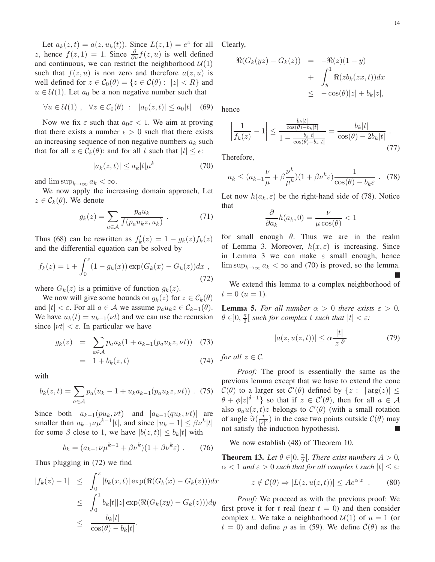Let  $a_k(z,t) = a(z, u_k(t))$ . Since  $L(z, 1) = e^z$  for all z, hence  $f(z, 1) = 1$ . Since  $\frac{\partial}{\partial u} f(z, u)$  is well defined and continuous, we can restrict the neighborhood  $U(1)$ such that  $f(z, u)$  is non zero and therefore  $a(z, u)$  is well defined for  $z \in C_0(\theta) = \{z \in C(\theta) : |z| < R\}$  and  $u \in \mathcal{U}(1)$ . Let  $a_0$  be a non negative number such that

$$
\forall u \in \mathcal{U}(1) \; , \quad \forall z \in \mathcal{C}_0(\theta) \; : \; |a_0(z, t)| \le a_0 |t| \quad (69)
$$

Now we fix  $\varepsilon$  such that  $a_0 \varepsilon < 1$ . We aim at proving that there exists a number  $\epsilon > 0$  such that there exists an increasing sequence of non negative numbers  $a_k$  such that for all  $z \in \mathcal{C}_k(\theta)$ : and for all t such that  $|t| \leq \epsilon$ :

$$
|a_k(z,t)| \le a_k |t| \mu^k \tag{70}
$$

and  $\limsup_{k\to\infty} a_k < \infty$ .

We now apply the increasing domain approach, Let  $z \in \mathcal{C}_k(\theta)$ . We denote

$$
g_k(z) = \sum_{a \in \mathcal{A}} \frac{p_a u_k}{f(p_a u_k z, u_k)}.
$$
 (71)

Thus (68) can be rewritten as  $f'_k(z) = 1 - g_k(z) f_k(z)$ and the differential equation can be solved by

$$
f_k(z) = 1 + \int_0^z (1 - g_k(x)) \exp(G_k(x) - G_k(z)) dx ,
$$
\n(72)

where  $G_k(z)$  is a primitive of function  $g_k(z)$ .

We now will give some bounds on  $g_k(z)$  for  $z \in \mathcal{C}_k(\theta)$ and  $|t| < \varepsilon$ . For all  $a \in A$  we assume  $p_a u_k z \in C_{k-1}(\theta)$ . We have  $u_k(t) = u_{k-1}(\nu t)$  and we can use the recursion since  $|vt| < \varepsilon$ . In particular we have

$$
g_k(z) = \sum_{a \in \mathcal{A}} p_a u_k (1 + a_{k-1}(p_a u_k z, \nu t)) \quad (73)
$$

$$
= 1 + b_k(z, t) \tag{74}
$$

with

$$
b_k(z,t) = \sum_{a \in \mathcal{A}} p_a(u_k - 1 + u_k a_{k-1}(p_a u_k z, \nu t)) \quad (75)
$$

Since both  $|a_{k-1}(pu_k, \nu t)|$  and  $|a_{k-1}(qu_k, \nu t)|$  are smaller than  $a_{k-1} \nu \mu^{k-1} |t|$ , and since  $|u_k - 1| \leq \beta \nu^k |t|$ for some  $\beta$  close to 1, we have  $|b(z, t)| \leq b_k|t|$  with

$$
b_k = (a_{k-1}\nu\mu^{k-1} + \beta\nu^k)(1 + \beta\nu^k\varepsilon) \ . \tag{76}
$$

Thus plugging in (72) we find

$$
|f_k(z) - 1| \leq \int_0^z |b_k(x, t)| \exp(\Re(G_k(x) - G_k(z))) dx
$$
  
\n
$$
\leq \int_0^1 b_k |t| |z| \exp(\Re(G_k(zy) - G_k(z))) dy
$$
  
\n
$$
\leq \frac{b_k |t|}{\cos(\theta) - b_k |t|}.
$$

Clearly,

$$
\Re(G_k(yz) - G_k(z)) = -\Re(z)(1 - y)
$$
  
+ 
$$
\int_y^1 \Re(zb_k(zx, t))dx
$$
  

$$
\leq -\cos(\theta)|z| + b_k|z|,
$$

hence

$$
\left|\frac{1}{f_k(z)} - 1\right| \le \frac{\frac{b_k|t|}{\cos(\theta) - b_k|t|}}{1 - \frac{b_k|t|}{\cos(\theta) - b_k|t|}} = \frac{b_k|t|}{\cos(\theta) - 2b_k|t|}.
$$
\n(77)

Therefore,

$$
a_k \le (a_{k-1}\frac{\nu}{\mu} + \beta \frac{\nu^k}{\mu^k})(1 + \beta \nu^k \varepsilon) \frac{1}{\cos(\theta) - b_k \varepsilon} \ . \tag{78}
$$

Let now  $h(a_k, \varepsilon)$  be the right-hand side of (78). Notice that

$$
\frac{\partial}{\partial a_k}h(a_k, 0) = \frac{\nu}{\mu \cos(\theta)} < 1
$$

for small enough  $\theta$ . Thus we are in the realm of Lemma 3. Moreover,  $h(x, \varepsilon)$  is increasing. Since in Lemma 3 we can make  $\varepsilon$  small enough, hence  $\limsup_{k\to\infty} a_k < \infty$  and (70) is proved, so the lemma.

We extend this lemma to a complex neighborhood of  $t = 0$   $(u = 1)$ .

**Lemma 5.** For all number  $\alpha > 0$  there exists  $\varepsilon > 0$ ,  $\theta \in ]0, \frac{\pi}{2}$  $\frac{\pi}{2}$ [ such for complex t such that  $|t| < \varepsilon$ *:* 

$$
|a(z, u(z, t))| \le \alpha \frac{|t|}{|z|^{\delta'}} \tag{79}
$$

*for all*  $z \in \mathcal{C}$ *.* 

*Proof:* The proof is essentially the same as the previous lemma except that we have to extend the cone  $\mathcal{C}(\theta)$  to a larger set  $\mathcal{C}'(\theta)$  defined by  $\{z : |\arg(z)| \leq$  $\theta + \phi |z|^{\delta - 1}$  so that if  $z \in C'(\theta)$ , then for all  $a \in \mathcal{A}$ also  $p_a u(z, t)z$  belongs to  $\mathcal{C}'(\theta)$  (with a small rotation of angle  $\Im(\frac{t}{|z|})$  $\frac{t}{|z|^{\delta}}$ ) in the case two points outside  $\mathcal{C}(\theta)$  may not satisfy the induction hypothesis).

We now establish (48) of Theorem 10.

**Theorem 13.** Let  $\theta \in ]0, \frac{\pi}{2}$  $\frac{\pi}{2}$ [*. There exist numbers A* > 0*,*  $\alpha < 1$  *and*  $\varepsilon > 0$  *such that for all complex t such*  $|t| \leq \varepsilon$ *:* 

$$
z \notin \mathcal{C}(\theta) \Rightarrow |L(z, u(z, t))| \le A e^{\alpha |z|} . \tag{80}
$$

*Proof:* We proceed as with the previous proof: We first prove it for t real (near  $t = 0$ ) and then consider complex t. We take a neighborhood  $U(1)$  of  $u = 1$  (or  $t = 0$ ) and define  $\rho$  as in (59). We define  $\overline{C}(\theta)$  as the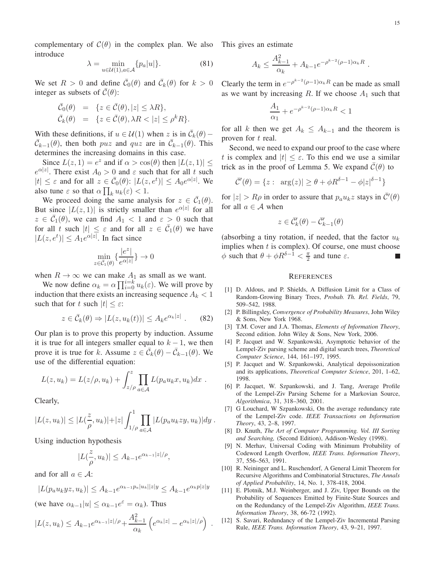complementary of  $C(\theta)$  in the complex plan. We also This gives an estimate introduce

$$
\lambda = \min_{u \in \mathcal{U}(1), a \in \mathcal{A}} \{ p_a |u| \}.
$$
 (81)

We set  $R > 0$  and define  $\bar{\mathcal{C}}_0(\theta)$  and  $\bar{\mathcal{C}}_k(\theta)$  for  $k > 0$ integer as subsets of  $C(\theta)$ :

$$
\begin{array}{rcl}\n\bar{\mathcal{C}}_0(\theta) & = & \{z \in \bar{\mathcal{C}}(\theta), |z| \le \lambda R\}, \\
\bar{\mathcal{C}}_k(\theta) & = & \{z \in \bar{\mathcal{C}}(\theta), \lambda R < |z| \le \rho^k R\}.\n\end{array}
$$

With these definitions, if  $u \in \mathcal{U}(1)$  when  $z$  is in  $\overline{\mathcal{C}}_k(\theta)$  –  $\bar{\mathcal{C}}_{k-1}(\theta)$ , then both *puz* and *quz* are in  $\bar{\mathcal{C}}_{k-1}(\theta)$ . This determines the increasing domains in this case.

Since  $L(z, 1) = e^z$  and if  $\alpha > \cos(\theta)$  then  $|L(z, 1)| \le$  $e^{\alpha|z|}$ . There exist  $A_0 > 0$  and  $\varepsilon$  such that for all t such  $|t| \leq \varepsilon$  and for all  $z \in \bar{C}_0(\theta)$ :  $|L(z, e^t)| \leq A_0 e^{\alpha |z|}$ . We also tune  $\varepsilon$  so that  $\alpha \prod_k u_k(\varepsilon) < 1$ .

We proceed doing the same analysis for  $z \in \overline{C}_1(\theta)$ . But since  $|L(z, 1)|$  is strictly smaller than  $e^{\alpha |z|}$  for all  $z \in \overline{\mathcal{C}}_1(\theta)$ , we can find  $A_1 < 1$  and  $\varepsilon > 0$  such that for all t such  $|t| \leq \varepsilon$  and for all  $z \in \overline{C}_1(\theta)$  we have  $|L(z, e^t)| \leq A_1 e^{\alpha |z|}$ . In fact since

$$
\min_{z \in \bar{C}_1(\theta)} \{ \frac{|e^z|}{e^{\alpha|z|}} \} \to 0
$$

when  $R \to \infty$  we can make  $A_1$  as small as we want.

We now define  $\alpha_k = \alpha \prod_{i=0}^{i=k} u_k(\varepsilon)$ . We will prove by induction that there exists an increasing sequence  $A_k < 1$ such that for t such  $|t| \leq \varepsilon$ :

$$
z \in \bar{C}_k(\theta) \Rightarrow |L(z, u_k(t))| \le A_k e^{\alpha_k |z|} . \tag{82}
$$

Our plan is to prove this property by induction. Assume it is true for all integers smaller equal to  $k - 1$ , we then prove it is true for k. Assume  $z \in \overline{\mathcal{C}}_k(\theta) - \overline{\mathcal{C}}_{k-1}(\theta)$ . We use of the differential equation:

$$
L(z, u_k) = L(z/\rho, u_k) + \int_{z/\rho}^{z} \prod_{a \in A} L(p_a u_k x, u_k) dx.
$$

Clearly,

$$
|L(z, u_k)| \leq |L(\frac{z}{\rho}, u_k)| + |z| \int_{1/\rho}^1 \prod_{a \in \mathcal{A}} |L(p_a u_k z y, u_k)| dy.
$$

Using induction hypothesis

$$
|L(\frac{z}{\rho},u_k)| \leq A_{k-1}e^{\alpha_{k-1}|z|/\rho},
$$

and for all  $a \in \mathcal{A}$ :

$$
|L(p_a u_k y z, u_k)| \le A_{k-1} e^{\alpha_{k-1} p_a |u_k| |z| y} \le A_{k-1} e^{\alpha_k p |z| y}
$$

(we have  $\alpha_{k-1}|u| \leq \alpha_{k-1}e^{\varepsilon} = \alpha_k$ ). Thus

$$
|L(z, u_k) \leq A_{k-1} e^{\alpha_{k-1}|z|/\rho} + \frac{A_{k-1}^2}{\alpha_k} \left( e^{\alpha_k|z|} - e^{\alpha_k|z|/\rho} \right) .
$$

$$
A_k \le \frac{A_{k-1}^2}{\alpha_k} + A_{k-1} e^{-\rho^{k-2}(\rho - 1)\alpha_k R}.
$$

Clearly the term in  $e^{-\rho^{k-2}(\rho-1)\alpha_kR}$  can be made as small as we want by increasing  $R$ . If we choose  $A_1$  such that

$$
\frac{A_1}{\alpha_1} + e^{-\rho^{k-2}(\rho - 1)\alpha_k R} < 1
$$

for all k then we get  $A_k \leq A_{k-1}$  and the theorem is proven for t real.

Second, we need to expand our proof to the case where t is complex and  $|t| \leq \varepsilon$ . To this end we use a similar trick as in the proof of Lemma 5. We expand  $\mathcal{C}(\theta)$  to

$$
\overline{\mathcal{C}}'(\theta) = \{ z : \arg(z) | \ge \theta + \phi R^{\delta - 1} - \phi |z|^{\delta - 1} \}
$$

for  $|z| > R\rho$  in order to assure that  $p_a u_k z$  stays in  $\overline{C}'(\theta)$ for all  $a \in \mathcal{A}$  when

$$
z\in \bar{\mathcal{C}}_k'(\theta)-\bar{\mathcal{C}}_{k-1}'(\theta)
$$

(absorbing a tiny rotation, if needed, that the factor  $u_k$ implies when  $t$  is complex). Of course, one must choose  $\phi$  such that  $\theta + \phi R^{\delta - 1} < \frac{\pi}{2}$  $\frac{\pi}{2}$  and tune  $\varepsilon$ .

#### **REFERENCES**

- [1] D. Aldous, and P. Shields, A Diffusion Limit for a Class of Random-Growing Binary Trees, *Probab. Th. Rel. Fields*, 79, 509–542, 1988.
- [2] P. Billingsley, *Convergence of Probability Measures*, John Wiley & Sons, New York 1968.
- [3] T.M. Cover and J.A. Thomas, *Elements of Information Theory*, Second edition. John Wiley & Sons, New York, 2006.
- [4] P. Jacquet and W. Szpankowski, Asymptotic behavior of the Lempel-Ziv parsing scheme and digital search trees, *Theoretical Computer Science*, 144, 161–197, 1995.
- [5] P. Jacquet and W. Szpankowski, Analytical depoissonization and its applications, *Theoretical Computer Science*, 201, 1–62, 1998.
- [6] P. Jacquet, W. Szpankowski, and J. Tang, Average Profile of the Lempel-Ziv Parsing Scheme for a Markovian Source, *Algorithmica*, 31, 318–360, 2001.
- [7] G Louchard, W Szpankowski, On the average redundancy rate of the Lempel-Ziv code. *IEEE Transactions on Information Theory*, 43, 2–8, 1997.
- [8] D. Knuth, *The Art of Computer Programming. Vol. III Sorting and Searching,* (Second Edition), Addison-Wesley (1998).
- [9] N. Merhav, Universal Coding with Minimum Probability of Codeword Length Overflow, *IEEE Trans. Information Theory*, 37, 556–563, 1991.
- [10] R. Neininger and L. Ruschendorf, A General Limit Theorem for Recursive Algorithms and Combinatorial Structures, *The Annals of Applied Probability*, 14, No. 1, 378-418, 2004.
- [11] E. Plotnik, M.J. Weinberger, and J. Ziv, Upper Bounds on the Probability of Sequences Emitted by Finite-State Sources and on the Redundancy of the Lempel-Ziv Algorithm, *IEEE Trans. Information Theory*, 38, 66-72 (1992).
- [12] S. Savari, Redundancy of the Lempel-Ziv Incremental Parsing Rule, *IEEE Trans. Information Theory*, 43, 9–21, 1997.